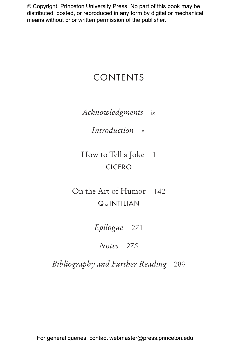# CONTENTS

*Acknowledgments* ix

*Introduction* xi

How to Tell a Joke 1 CICERO

On the Art of Humor 142 QUINTILIAN

*Epilogue* 271

*Notes* 275

*Bibliography and Further Reading* 289

For general queries, contact webmaster@press.princeton.edu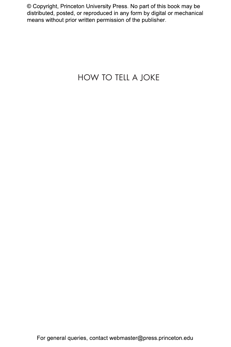# HOW TO TELL A JOKE

For general queries, contact webmaster@press.princeton.edu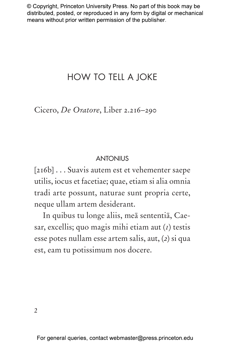# HOW TO TELL A JOKE

Cicero, *De Oratore*, Liber 2.216–290

#### **ANTONIUS**

[216b] . . . Suavis autem est et vehementer saepe utilis, iocus et facetiae; quae, etiam si alia omnia tradi arte possunt, naturae sunt propria certe, neque ullam artem desiderant.

In quibus tu longe aliis, meā sententiā, Caesar, excellis; quo magis mihi etiam aut (*1*) testis esse potes nullam esse artem salis, aut, (*2*) si qua est, eam tu potissimum nos docere.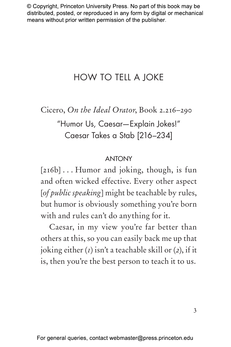# HOW TO TELL A JOKE

Cicero, *On the Ideal Orator*, Book 2.216–290

"Humor Us, Caesar—Explain Jokes!" Caesar Takes a Stab [216–234]

#### ANTONY

[216b] . . . Humor and joking, though, is fun and often wicked effective. Every other aspect [*of public speaking*] might be teachable by rules, but humor is obviously something you're born with and rules can't do anything for it.

Caesar, in my view you're far better than others at this, so you can easily back me up that joking either (*1*) isn't a teachable skill or (*2*), if it is, then you're the best person to teach it to us.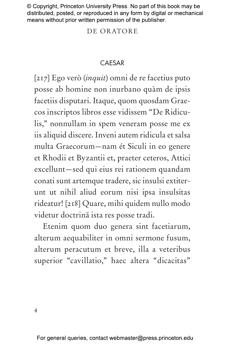#### DE ORATORE

## CAESAR

[217] Ego verò (*inquit*) omni de re facetius puto posse ab homine non inurbano quàm de ipsis facetiis disputari. Itaque, quom quosdam Graecos inscriptos libros esse vidissem "De Ridiculis," nonnullam in spem veneram posse me ex iis aliquid discere. Inveni autem ridicula et salsa multa Graecorum—nam ét Siculi in eo genere et Rhodii et Byzantii et, praeter ceteros, Attici excellunt—sed qui eius rei rationem quandam conati sunt artemque tradere, sic insulsi extiterunt ut nihil aliud eorum nisi ipsa insulsitas rideatur! [218] Quare, mihi quidem nullo modo videtur doctrinā ista res posse tradi.

Etenim quom duo genera sint facetiarum, alterum aequabiliter in omni sermone fusum, alterum peracutum et breve, illa a veteribus superior "cavillatio," haec altera "dicacitas"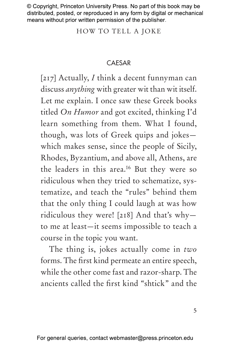HOW TO TELL A JOKE

## CAESAR

[217] Actually, *I* think a decent funnyman can discuss *anything* with greater wit than wit itself. Let me explain. I once saw these Greek books titled *On Humor* and got excited, thinking I'd learn something from them. What I found, though, was lots of Greek quips and jokes which makes sense, since the people of Sicily, Rhodes, Byzantium, and above all, Athens, are the leaders in this area.16 But they were so ridiculous when they tried to schematize, systematize, and teach the "rules" behind them that the only thing I could laugh at was how ridiculous they were! [218] And that's why to me at least—it seems impossible to teach a course in the topic you want.

The thing is, jokes actually come in *two* forms. The first kind permeate an entire speech, while the other come fast and razor-sharp. The ancients called the first kind "shtick" and the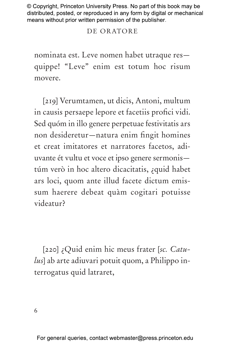## DE ORATORE

nominata est. Leve nomen habet utraque res quippe! "Leve" enim est totum hoc risum movere.

[219] Verumtamen, ut dicis, Antoni, multum in causis persaepe lepore et facetiis profici vidi. Sed quóm in illo genere perpetuae festivitatis ars non desideretur—natura enim fingit homines et creat imitatores et narratores facetos, adiuvante ét vultu et voce et ipso genere sermonis túm verò in hoc altero dicacitatis, ¿quid habet ars loci, quom ante illud facete dictum emissum haerere debeat quàm cogitari potuisse videatur?

[220] ¿Quid enim hic meus frater [*sc. Catulus*] ab arte adiuvari potuit quom, a Philippo interrogatus quid latraret,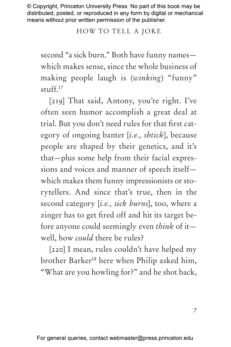## HOW TO TELL A JOKE

second "a sick burn." Both have funny names which makes sense, since the whole business of making people laugh is (*winking*) "funny" stuff.17

[219] That said, Antony, you're right. I've often seen humor accomplish a great deal at trial. But you don't need rules for that first category of ongoing banter [*i.e., shtick*], because people are shaped by their genetics, and it's that—plus some help from their facial expressions and voices and manner of speech itself which makes them funny impressionists or storytellers. And since that's true, then in the second category [*i.e., sick burns*], too, where a zinger has to get fired off and hit its target before anyone could seemingly even *think* of it well, how *could* there be rules?

[220] I mean, rules couldn't have helped my brother Barker18 here when Philip asked him, "What are you howling for?" and he shot back,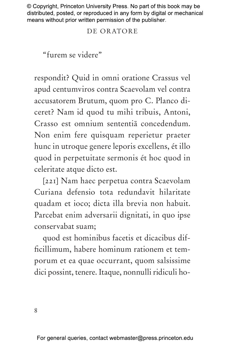#### DE ORATORE

"furem se videre"

respondit? Quid in omni oratione Crassus vel apud centumviros contra Scaevolam vel contra accusatorem Brutum, quom pro C. Planco diceret? Nam id quod tu mihi tribuis, Antoni, Crasso est omnium sententiā concedendum. Non enim fere quisquam reperietur praeter hunc in utroque genere leporis excellens, ét illo quod in perpetuitate sermonis ét hoc quod in celeritate atque dicto est.

[221] Nam haec perpetua contra Scaevolam Curiana defensio tota redundavit hilaritate quadam et ioco; dicta illa brevia non habuit. Parcebat enim adversarii dignitati, in quo ipse conservabat suam;

quod est hominibus facetis et dicacibus difficillimum, habere hominum rationem et temporum et ea quae occurrant, quom salsissime dici possint, tenere. Itaque, nonnulli ridiculi ho-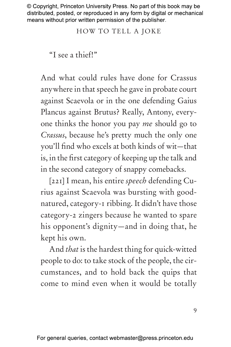HOW TO TELL A JOKE

"I see a thief!"

And what could rules have done for Crassus anywhere in that speech he gave in probate court against Scaevola or in the one defending Gaius Plancus against Brutus? Really, Antony, everyone thinks the honor you pay *me* should go to *Crassus*, because he's pretty much the only one you'll find who excels at both kinds of wit—that is, in the first category of keeping up the talk and in the second category of snappy comebacks.

[221] I mean, his entire *speech* defending Curius against Scaevola was bursting with goodnatured, category-1 ribbing. It didn't have those category-2 zingers because he wanted to spare his opponent's dignity—and in doing that, he kept his own.

And *that* is the hardest thing for quick-witted people to do: to take stock of the people, the circumstances, and to hold back the quips that come to mind even when it would be totally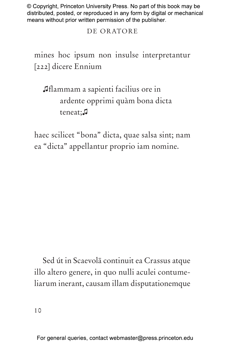## DE ORATORE

mines hoc ipsum non insulse interpretantur [222] dicere Ennium

♫flammam a sapienti facilius ore in ardente opprimi quàm bona dicta teneat;♫

haec scilicet "bona" dicta, quae salsa sint; nam ea "dicta" appellantur proprio iam nomine.

Sed út in Scaevolā continuit ea Crassus atque illo altero genere, in quo nulli aculei contumeliarum inerant, causam illam disputationemque

For general queries, contact webmaster@press.princeton.edu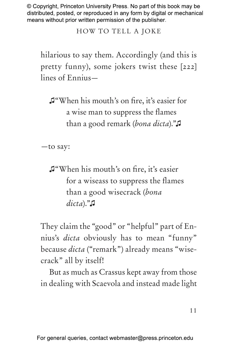HOW TO TELL A JOKE

hilarious to say them. Accordingly (and this is pretty funny), some jokers twist these [222] lines of Ennius—

♫"When his mouth's on fire, it's easier for a wise man to suppress the flames than a good remark (*bona dicta*)."♫

—to say:

♫"When his mouth's on fire, it's easier for a wiseass to suppress the flames than a good wisecrack (*bona dicta*)."♫

They claim the "good" or "helpful" part of Ennius's *dicta* obviously has to mean "funny" because *dicta* ("remark") already means "wisecrack" all by itself!

But as much as Crassus kept away from those in dealing with Scaevola and instead made light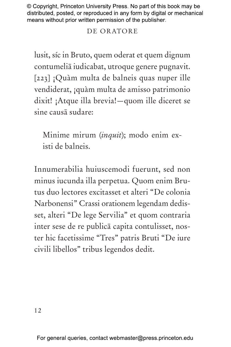# DE ORATORE

lusit, síc in Bruto, quem oderat et quem dignum contumeliā iudicabat, utroque genere pugnavit. [223] ¡Quàm multa de balneis quas nuper ille vendiderat, ¡quàm multa de amisso patrimonio dixit! ¡Atque illa brevia!—quom ille diceret se sine causā sudare:

Minime mirum (*inquit*); modo enim existi de balneis.

Innumerabilia huiuscemodi fuerunt, sed non minus iucunda illa perpetua. Quom enim Brutus duo lectores excitasset et alteri "De colonia Narbonensi" Crassi orationem legendam dedisset, alteri "De lege Servilia" et quom contraria inter sese de re publicā capita contulisset, noster hic facetissime "Tres" patris Bruti "De iure civili libellos" tribus legendos dedit.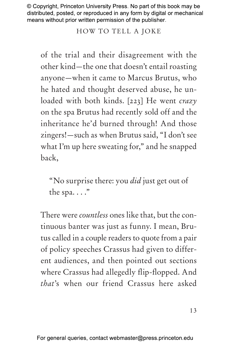# HOW TO TELL A JOKE

of the trial and their disagreement with the other kind—the one that doesn't entail roasting anyone—when it came to Marcus Brutus, who he hated and thought deserved abuse, he unloaded with both kinds. [223] He went *crazy* on the spa Brutus had recently sold off and the inheritance he'd burned through! And those zingers!—such as when Brutus said, "I don't see what I'm up here sweating for," and he snapped back,

"No surprise there: you *did* just get out of the spa...."

There were *countless* ones like that, but the continuous banter was just as funny. I mean, Brutus called in a couple readers to quote from a pair of policy speeches Crassus had given to different audiences, and then pointed out sections where Crassus had allegedly flip-flopped. And *that*'s when our friend Crassus here asked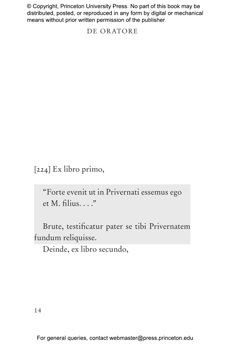#### DE ORATORE

[224] Ex libro primo,

"Forte evenit ut in Privernati essemus ego et M. filius. . . ."

Brute, testificatur pater se tibi Privernatem fundum reliquisse.

Deinde, ex libro secundo,

For general queries, contact webmaster@press.princeton.edu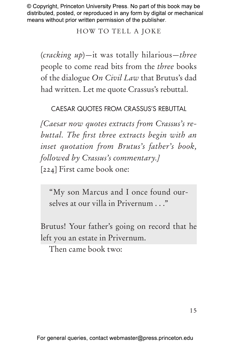HOW TO TELL A JOKE

(*cracking up*)—it was totally hilarious—*three* people to come read bits from the *three* books of the dialogue *On Civil Law* that Brutus's dad had written. Let me quote Crassus's rebuttal.

CAESAR QUOTES FROM CRASSUS'S REBUTTAL

*[Caesar now quotes extracts from Crassus's rebuttal. The first three extracts begin with an inset quotation from Brutus's father's book, followed by Crassus's commentary.]* [224] First came book one:

"My son Marcus and I once found ourselves at our villa in Privernum . . ."

Brutus! Your father's going on record that he left you an estate in Privernum.

Then came book two: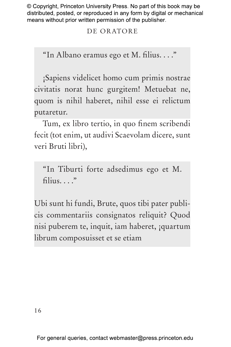# DE ORATORE

"In Albano eramus ego et M. filius. . . ."

¡Sapiens videlicet homo cum primis nostrae civitatis norat hunc gurgitem! Metuebat ne, quom is nihil haberet, nihil esse ei relictum putaretur.

Tum, ex libro tertio, in quo finem scribendi fecit (tot enim, ut audivi Scaevolam dicere, sunt veri Bruti libri),

"In Tiburti forte adsedimus ego et M. filius. . . ."

Ubi sunt hi fundi, Brute, quos tibi pater publicis commentariis consignatos reliquit? Quod nisi puberem te, inquit, iam haberet, ¡quartum librum composuisset et se etiam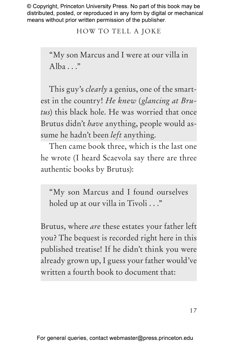HOW TO TELL A JOKE

"My son Marcus and I were at our villa in Alba $\ldots$ "

This guy's *clearly* a genius, one of the smartest in the country! *He knew* (*glancing at Brutus*) this black hole. He was worried that once Brutus didn't *have* anything, people would assume he hadn't been *left* anything.

Then came book three, which is the last one he wrote (I heard Scaevola say there are three authentic books by Brutus):

"My son Marcus and I found ourselves holed up at our villa in Tivoli . . ."

Brutus, where *are* these estates your father left you? The bequest is recorded right here in this published treatise! If he didn't think you were already grown up, I guess your father would've written a fourth book to document that: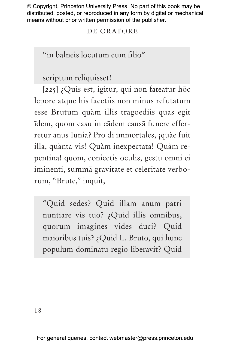## DE ORATORE

"in balneis locutum cum filio"

scriptum reliquisset!

[225] ¿Quis est, igitur, qui non fateatur hōc lepore atque his facetiis non minus refutatum esse Brutum quàm illis tragoediis quas egit īdem, quom casu in eādem causā funere efferretur anus Iunia? Pro di immortales, ¡quàe fuit illa, quànta vis! Quàm inexpectata! Quàm repentina! quom, coniectis oculis, gestu omni ei iminenti, summā gravitate et celeritate verborum, "Brute," inquit,

"Quid sedes? Quid illam anum patri nuntiare vis tuo? ¿Quid illis omnibus, quorum imagines vides duci? Quid maioribus tuis? ¿Quid L. Bruto, qui hunc populum dominatu regio liberavit? Quid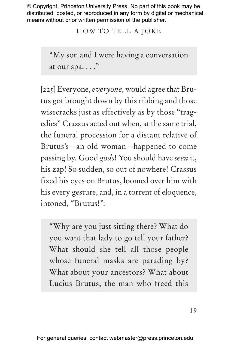HOW TO TELL A JOKE

"My son and I were having a conversation at our spa. . . ."

[225] Everyone, *everyone*, would agree that Brutus got brought down by this ribbing and those wisecracks just as effectively as by those "tragedies" Crassus acted out when, at the same trial, the funeral procession for a distant relative of Brutus's—an old woman—happened to come passing by. Good *gods*! You should have *seen* it, his zap! So sudden, so out of nowhere! Crassus fixed his eyes on Brutus, loomed over him with his every gesture, and, in a torrent of eloquence, intoned, "Brutus!":—

"Why are you just sitting there? What do you want that lady to go tell your father? What should she tell all those people whose funeral masks are parading by? What about your ancestors? What about Lucius Brutus, the man who freed this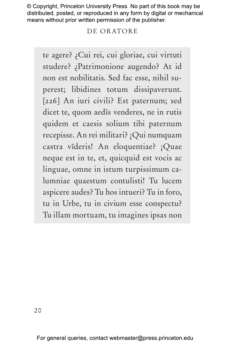### DE ORATORE

te agere? ¿Cui rei, cui gloriae, cui virtuti studere? ¿Patrimonione augendo? At id non est nobilitatis. Sed fac esse, nihil superest; libidines totum dissipaverunt. [226] An iuri civili? Est paternum; sed dicet te, quom aedīs venderes, ne in rutis quidem et caesis solium tibi paternum recepisse. An rei militari? ¡Qui numquam castra vīderis! An eloquentiae? ¡Quae neque est in te, et, quicquid est vocis ac linguae, omne in istum turpissimum calumniae quaestum contulisti! Tu lucem aspicere audes? Tu hos intueri? Tu in foro, tu in Urbe, tu in civium esse conspectu? Tu illam mortuam, tu imagines ipsas non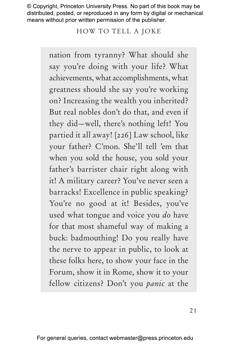HOW TO TELL A JOKE

nation from tyranny? What should she say you're doing with your life? What achievements, what accomplishments, what greatness should she say you're working on? Increasing the wealth you inherited? But real nobles don't do that, and even if they did—well, there's nothing left! You partied it all away! [226] Law school, like your father? C'mon. She'll tell 'em that when you sold the house, you sold your father's barrister chair right along with it! A military career? You've never seen a barracks! Excellence in public speaking? You're no good at it! Besides, you've used what tongue and voice you *do* have for that most shameful way of making a buck: badmouthing! Do you really have the nerve to appear in public, to look at these folks here, to show your face in the Forum, show it in Rome, show it to your fellow citizens? Don't you *panic* at the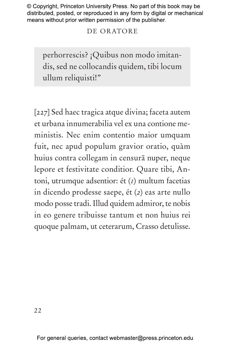### DE ORATORE

perhorrescis? ¡Quibus non modo imitandis, sed ne collocandis quidem, tibi locum ullum reliquisti!"

[227] Sed haec tragica atque divina; faceta autem et urbana innumerabilia vel ex una contione meministis. Nec enim contentio maior umquam fuit, nec apud populum gravior oratio, quàm huius contra collegam in censurā nuper, neque lepore et festivitate conditior. Quare tibi, Antoni, utrumque adsentior: ét (*1*) multum facetias in dicendo prodesse saepe, ét (*2*) eas arte nullo modo posse tradi. Illud quidem admiror, te nobis in eo genere tribuisse tantum et non huius rei quoque palmam, ut ceterarum, Crasso detulisse.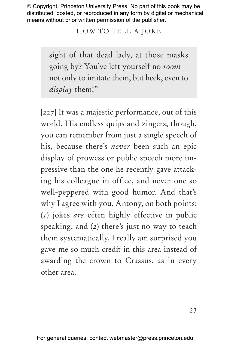## HOW TO TELL A JOKE

sight of that dead lady, at those masks going by? You've left yourself no *room* not only to imitate them, but heck, even to *display* them!"

[227] It was a majestic performance, out of this world. His endless quips and zingers, though, you can remember from just a single speech of his, because there's *never* been such an epic display of prowess or public speech more impressive than the one he recently gave attacking his colleague in office, and never one so well-peppered with good humor. And that's why I agree with you, Antony, on both points: (*1*) jokes *are* often highly effective in public speaking, and (*2*) there's just no way to teach them systematically. I really am surprised you gave me so much credit in this area instead of awarding the crown to Crassus, as in every other area.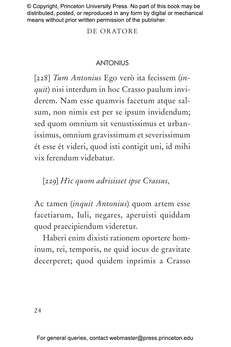#### DE ORATORE

### **ANTONIUS**

[228] *Tum Antonius* Ego verò ita fecissem (*inquit*) nisi interdum in hoc Crasso paulum inviderem. Nam esse quamvis facetum atque salsum, non nimis est per se ipsum invidendum; sed quom omnium sit venustissimus et urbanissimus, omnium gravissimum et severissimum ét esse ét videri, quod isti contigit uni, id mihi vix ferendum videbatur.

[229] *Hīc quom adrisisset ipse Crassus,*

Ac tamen (*inquit Antonius*) quom artem esse facetiarum, Iuli, negares, aperuisti quiddam quod praecipiendum videretur.

Haberi enim dixisti rationem oportere hominum, rei, temporis, ne quid iocus de gravitate decerperet; quod quidem inprimis a Crasso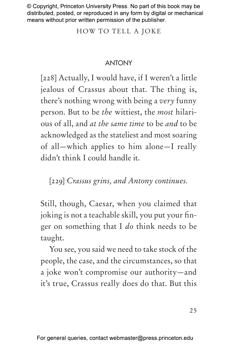HOW TO TELL A JOKE

# ANTONY

[228] Actually, I would have, if I weren't a little jealous of Crassus about that. The thing is, there's nothing wrong with being a *very* funny person. But to be *the* wittiest, the *most* hilarious of all, and *at the same time* to be *and* to be acknowledged as the stateliest and most soaring of all—which applies to him alone—I really didn't think I could handle it.

[229] *Crassus grins, and Antony continues.*

Still, though, Caesar, when you claimed that joking is not a teachable skill, you put your finger on something that I *do* think needs to be taught.

You see, you said we need to take stock of the people, the case, and the circumstances, so that a joke won't compromise our authority—and it's true, Crassus really does do that. But this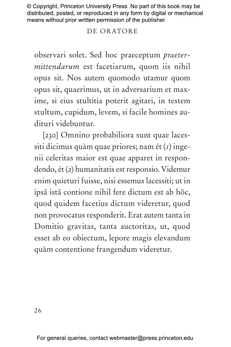## DE ORATORE

observari solet. Sed hoc praeceptum *praetermittendarum* est facetiarum, quom iis nihil opus sit. Nos autem quomodo utamur quom opus sit, quaerimus, ut in adversarium et maxime, si eius stultitia poterit agitari, in testem stultum, cupidum, levem, si facile homines audituri videbuntur.

[230] Omnino probabiliora sunt quae lacessiti dicimus quàm quae priores; nam ét (*1*) ingenii celeritas maior est quae apparet in respondendo, ét (*2*) humanitatis est responsio. Videmur enim quieturi fuisse, nisi essemus lacessiti; ut in ipsā istā contione nihil fere dictum est ab hōc, quod quidem facetius dictum videretur, quod non provocatus responderit. Erat autem tanta in Domitio gravitas, tanta auctoritas, ut, quod esset ab eo obiectum, lepore magis elevandum quàm contentione frangendum videretur.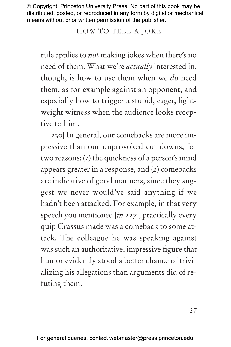HOW TO TELL A JOKE

rule applies to *not* making jokes when there's no need of them. What we're *actually* interested in, though, is how to use them when we *do* need them, as for example against an opponent, and especially how to trigger a stupid, eager, lightweight witness when the audience looks receptive to him.

[230] In general, our comebacks are more impressive than our unprovoked cut-downs, for two reasons: (*1*) the quickness of a person's mind appears greater in a response, and (*2*) comebacks are indicative of good manners, since they suggest we never would've said anything if we hadn't been attacked. For example, in that very speech you mentioned [*in 227*], practically every quip Crassus made was a comeback to some attack. The colleague he was speaking against was such an authoritative, impressive figure that humor evidently stood a better chance of trivializing his allegations than arguments did of refuting them.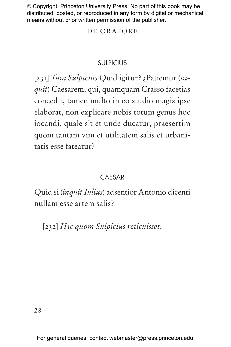### DE ORATORE

## **SULPICIUS**

[231] *Tum Sulpicius* Quid igitur? ¿Patiemur (*inquit*) Caesarem, qui, quamquam Crasso facetias concedit, tamen multo in eo studio magis ipse elaborat, non explicare nobis totum genus hoc iocandi, quale sit et unde ducatur, praesertim quom tantam vim et utilitatem salis et urbanitatis esse fateatur?

## **CAESAR**

Quid si (*inquit Iulius*) adsentior Antonio dicenti nullam esse artem salis?

[232] *Hīc quom Sulpicius reticuisset,*

For general queries, contact webmaster@press.princeton.edu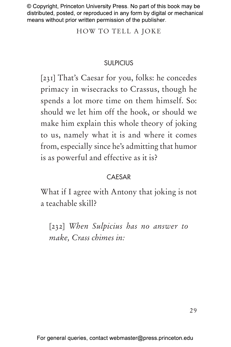HOW TO TELL A JOKE

# **SULPICIUS**

[231] That's Caesar for you, folks: he concedes primacy in wisecracks to Crassus, though he spends a lot more time on them himself. So: should we let him off the hook, or should we make him explain this whole theory of joking to us, namely what it is and where it comes from, especially since he's admitting that humor is as powerful and effective as it is?

# CAESAR

What if I agree with Antony that joking is not a teachable skill?

[232] *When Sulpicius has no answer to make, Crass chimes in:*